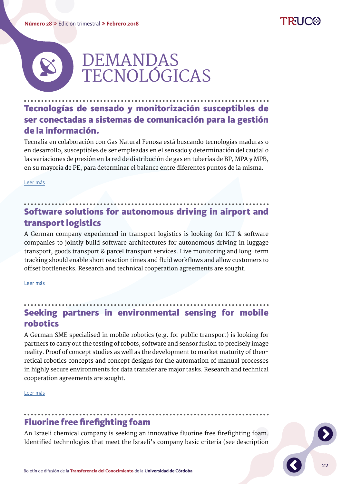#### **Número 28** Edición trimestral **Febrero 2018**



22



## Tecnologías de sensado y monitorización susceptibles de ser conectadas a sistemas de comunicación para la gestión de la información.

Tecnalia en colaboración con Gas Natural Fenosa está buscando tecnologías maduras o en desarrollo, susceptibles de ser empleadas en el sensado y determinación del caudal o las variaciones de presión en la red de distribución de gas en tuberías de BP, MPA y MPB, en su mayoría de PE, para determinar el balance entre diferentes puntos de la misma.

[Leer más](http://www.uco.es/webuco/otri/demanda/tecnologias-de-sensado-y-monitorizacion-susceptibles-de-ser-conectadas-a-sistemas-de-comunicacion-para-la-gestion-de-la-informacion/)

# Software solutions for autonomous driving in airport and transport logistics

A German company experienced in transport logistics is looking for ICT & software companies to jointly build software architectures for autonomous driving in luggage transport, goods transport & parcel transport services. Live monitoring and long-term tracking should enable short reaction times and fluid workflows and allow customers to offset bottlenecks. Research and technical cooperation agreements are sought.

[Leer más](http://www.uco.es/webuco/otri/demanda/software-solutions-for-autonomous-driving-in-airport-and-transport-logistics/)

## Seeking partners in environmental sensing for mobile robotics

A German SME specialised in mobile robotics (e.g. for public transport) is looking for partners to carry out the testing of robots, software and sensor fusion to precisely image reality. Proof of concept studies as well as the development to market maturity of theoretical robotics concepts and concept designs for the automation of manual processes in highly secure environments for data transfer are major tasks. Research and technical cooperation agreements are sought.

[Leer más](http://www.uco.es/webuco/otri/demanda/seeking-partners-in-environmental-sensing-for-mobile-robotics/)

#### Fluorine free firefighting foam

An Israeli chemical company is seeking an innovative fluorine free firefighting foam. Identified technologies that meet the Israeli's company basic criteria (see description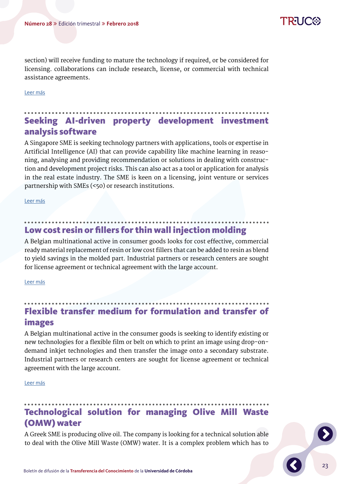23

section) will receive funding to mature the technology if required, or be considered for licensing. collaborations can include research, license, or commercial with technical assistance agreements.

[Leer más](http://www.uco.es/webuco/otri/demanda/fluorine-free-firefighting-foam/)

# Seeking AI-driven property development investment analysis software

A Singapore SME is seeking technology partners with applications, tools or expertise in Artificial Intelligence (AI) that can provide capability like machine learning in reasoning, analysing and providing recommendation or solutions in dealing with construction and development project risks. This can also act as a tool or application for analysis in the real estate industry. The SME is keen on a licensing, joint venture or services partnership with SMEs (<50) or research institutions.

[Leer más](http://www.uco.es/webuco/otri/demanda/seeking-ai-driven-property-development-investment-analysis-software/)

#### Low cost resin or fillers for thin wall injection molding

A Belgian multinational active in consumer goods looks for cost effective, commercial ready material replacement of resin or low cost fillers that can be added to resin as blend to yield savings in the molded part. Industrial partners or research centers are sought for license agreement or technical agreement with the large account.

[Leer más](http://www.uco.es/webuco/otri/demanda/low-cost-resin-or-fillers-for-thin-wall-injection-molding/)

# Flexible transfer medium for formulation and transfer of images

A Belgian multinational active in the consumer goods is seeking to identify existing or new technologies for a flexible film or belt on which to print an image using drop-ondemand inkjet technologies and then transfer the image onto a secondary substrate. Industrial partners or research centers are sought for license agreement or technical agreement with the large account.

[Leer más](http://www.uco.es/webuco/otri/demanda/flexible-transfer-medium-for-formulation-and-transfer-of-images/)

# Technological solution for managing Olive Mill Waste (OMW) water

A Greek SME is producing olive oil. The company is looking for a technical solution able to deal with the Olive Mill Waste (OMW) water. It is a complex problem which has to